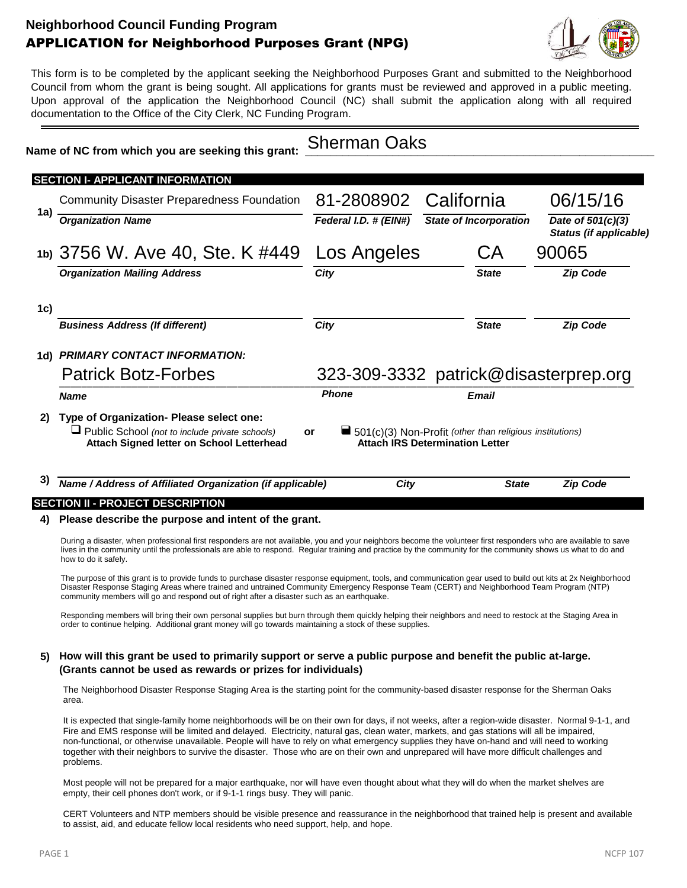# **Neighborhood Council Funding Program** APPLICATION for Neighborhood Purposes Grant (NPG)



This form is to be completed by the applicant seeking the Neighborhood Purposes Grant and submitted to the Neighborhood Council from whom the grant is being sought. All applications for grants must be reviewed and approved in a public meeting. Upon approval of the application the Neighborhood Council (NC) shall submit the application along with all required documentation to the Office of the City Clerk, NC Funding Program.

#### Name of NC from which you are seeking this grant: Sherman Oaks

|      | <b>SECTION I- APPLICANT INFORMATION</b>                                                                                                        |           |                                                                                                                   |  |                               |                                             |  |  |
|------|------------------------------------------------------------------------------------------------------------------------------------------------|-----------|-------------------------------------------------------------------------------------------------------------------|--|-------------------------------|---------------------------------------------|--|--|
|      | <b>Community Disaster Preparedness Foundation</b><br><b>Organization Name</b>                                                                  |           | 81-2808902                                                                                                        |  | California                    | 06/15/16                                    |  |  |
| 1a)  |                                                                                                                                                |           | Federal I.D. # (EIN#)                                                                                             |  | <b>State of Incorporation</b> | Date of 501(c)(3)<br>Status (if applicable) |  |  |
|      | 1b) 3756 W. Ave 40, Ste. K #449                                                                                                                |           | Los Angeles                                                                                                       |  | СA                            | 90065                                       |  |  |
|      | <b>Organization Mailing Address</b>                                                                                                            | City      |                                                                                                                   |  | <b>State</b>                  | <b>Zip Code</b>                             |  |  |
| 1c)  |                                                                                                                                                |           |                                                                                                                   |  |                               |                                             |  |  |
|      | <b>Business Address (If different)</b>                                                                                                         | City      |                                                                                                                   |  | <b>State</b>                  | <b>Zip Code</b>                             |  |  |
| 1d). | <b>PRIMARY CONTACT INFORMATION:</b>                                                                                                            |           |                                                                                                                   |  |                               |                                             |  |  |
|      | <b>Patrick Botz-Forbes</b>                                                                                                                     |           |                                                                                                                   |  |                               | 323-309-3332 patrick@disasterprep.org       |  |  |
|      | <b>Name</b>                                                                                                                                    |           | <b>Phone</b>                                                                                                      |  | <b>Email</b>                  |                                             |  |  |
|      | Type of Organization- Please select one:<br>$\Box$ Public School (not to include private schools)<br>Attach Signed letter on School Letterhead | <b>or</b> | $\blacksquare$ 501(c)(3) Non-Profit (other than religious institutions)<br><b>Attach IRS Determination Letter</b> |  |                               |                                             |  |  |

# **3)** *Name / Address of Affiliated Organization (if applicable) City State Zip Code*

### **SECTION II - PROJECT DESCRIPTION**

#### **4) Please describe the purpose and intent of the grant.**

During a disaster, when professional first responders are not available, you and your neighbors become the volunteer first responders who are available to save lives in the community until the professionals are able to respond. Regular training and practice by the community for the community shows us what to do and how to do it safely.

The purpose of this grant is to provide funds to purchase disaster response equipment, tools, and communication gear used to build out kits at 2x Neighborhood Disaster Response Staging Areas where trained and untrained Community Emergency Response Team (CERT) and Neighborhood Team Program (NTP) community members will go and respond out of right after a disaster such as an earthquake.

Responding members will bring their own personal supplies but burn through them quickly helping their neighbors and need to restock at the Staging Area in order to continue helping. Additional grant money will go towards maintaining a stock of these supplies.

### **5) How will this grant be used to primarily support or serve a public purpose and benefit the public at-large. (Grants cannot be used as rewards or prizes for individuals)**

The Neighborhood Disaster Response Staging Area is the starting point for the community-based disaster response for the Sherman Oaks area.

It is expected that single-family home neighborhoods will be on their own for days, if not weeks, after a region-wide disaster. Normal 9-1-1, and Fire and EMS response will be limited and delayed. Electricity, natural gas, clean water, markets, and gas stations will all be impaired, non-functional, or otherwise unavailable. People will have to rely on what emergency supplies they have on-hand and will need to working together with their neighbors to survive the disaster. Those who are on their own and unprepared will have more difficult challenges and problems.

Most people will not be prepared for a major earthquake, nor will have even thought about what they will do when the market shelves are empty, their cell phones don't work, or if 9-1-1 rings busy. They will panic.

CERT Volunteers and NTP members should be visible presence and reassurance in the neighborhood that trained help is present and available to assist, aid, and educate fellow local residents who need support, help, and hope.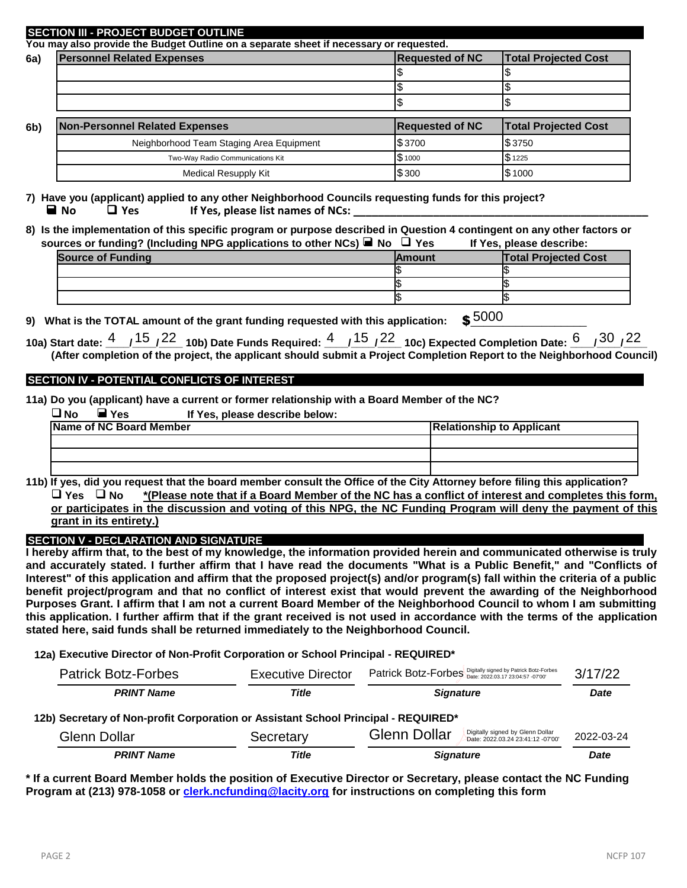#### **Personnel Related Expenses Requested of NC Total Projected Cost**  $\sim$  \$  $\sim$   $\sim$   $\sim$   $\sim$  $\sim$   $\sim$   $\sim$   $\sim$ **Non-Personnel Related Expenses <b>Requested of NC Requested of NC Requested Of NC Requested Cost**  $$3700$   $$3750$  $$1000$   $$1225$  $$300$   $$1000$ **SECTION III - PROJECT BUDGET OUTLINE You may also provide the Budget Outline on a separate sheet if necessary or requested. 6a) 6b)** Neighborhood Team Staging Area Equipment Two-Way Radio Communications Kit Medical Resupply Kit

**7) Have you (applicant) applied to any other Neighborhood Councils requesting funds for this project?** ■ **No** ■ Yes If Yes, please list names of NCs:

**8) Is the implementation of this specific program or purpose described in Question 4 contingent on any other factors or sources or funding? (Including NPG applications to other NCs) No Yes If Yes, please describe:**

| <b>Source of Funding</b> | <b>IAmount</b> | <b>Total Projected Cost</b> |
|--------------------------|----------------|-----------------------------|
|                          |                |                             |
|                          |                |                             |
|                          |                |                             |

**9)** What is the TOTAL amount of the grant funding requested with this application:  $$5000$ 

10a) Start date: <sup>4</sup> \_ /<sup>15</sup> \_/<sup>22</sup> \_ 10b) Date Funds Required: <sup>4</sup> \_ /<sup>15</sup> \_/<sup>22</sup> \_ 10c) Expected Completion Date: <u>6 \_ \_/30 \_/22</u> **(After completion of the project, the applicant should submit a Project Completion Report to the Neighborhood Council)**

## **SECTION IV - POTENTIAL CONFLICTS OF INTEREST**

**11a) Do you (applicant) have a current or former relationship with a Board Member of the NC?**

| $\overline{\mathsf{d}}$ No<br>⊿ Yes | If Yes, please describe below: |                                  |
|-------------------------------------|--------------------------------|----------------------------------|
| <b>Name of NC Board Member</b>      |                                | <b>Relationship to Applicant</b> |
|                                     |                                |                                  |
|                                     |                                |                                  |
|                                     |                                |                                  |

**11b) If yes, did you request that the board member consult the Office of the City Attorney before filing this application? Yes No \*(Please note that if a Board Member of the NC has a conflict of interest and completes this form, or participates in the discussion and voting of this NPG, the NC Funding Program will deny the payment of this grant in its entirety.)**

**SECTION V - DECLARATION AND SIGNATURE**

**I hereby affirm that, to the best of my knowledge, the information provided herein and communicated otherwise is truly and accurately stated. I further affirm that I have read the documents "What is a Public Benefit," and "Conflicts of Interest" of this application and affirm that the proposed project(s) and/or program(s) fall within the criteria of a public benefit project/program and that no conflict of interest exist that would prevent the awarding of the Neighborhood Purposes Grant. I affirm that I am not a current Board Member of the Neighborhood Council to whom I am submitting this application. I further affirm that if the grant received is not used in accordance with the terms of the application stated here, said funds shall be returned immediately to the Neighborhood Council.**

**12a) Executive Director of Non-Profit Corporation or School Principal - REQUIRED\***

| <b>Patrick Botz-Forbes</b>                                                         | <b>Executive Director</b> | Patrick Botz-Forbes Digitally signed by Patrick Botz-Forbes                           | 3/17/22     |  |
|------------------------------------------------------------------------------------|---------------------------|---------------------------------------------------------------------------------------|-------------|--|
| <b>PRINT Name</b>                                                                  | Title                     | <b>Signature</b>                                                                      | <b>Date</b> |  |
| 12b) Secretary of Non-profit Corporation or Assistant School Principal - REQUIRED* |                           |                                                                                       |             |  |
| Glenn Dollar                                                                       | Secretary                 | Digitally signed by Glenn Dollar<br>Glenn Dollar<br>Date: 2022.03.24 23:41:12 -07'00' | 2022-03-24  |  |
| <b>PRINT Name</b>                                                                  | Title                     | <b>Signature</b>                                                                      | <b>Date</b> |  |

**\* If a current Board Member holds the position of Executive Director or Secretary, please contact the NC Funding Program at (213) 978-1058 or clerk.ncfunding@lacity.org for instructions on completing this form**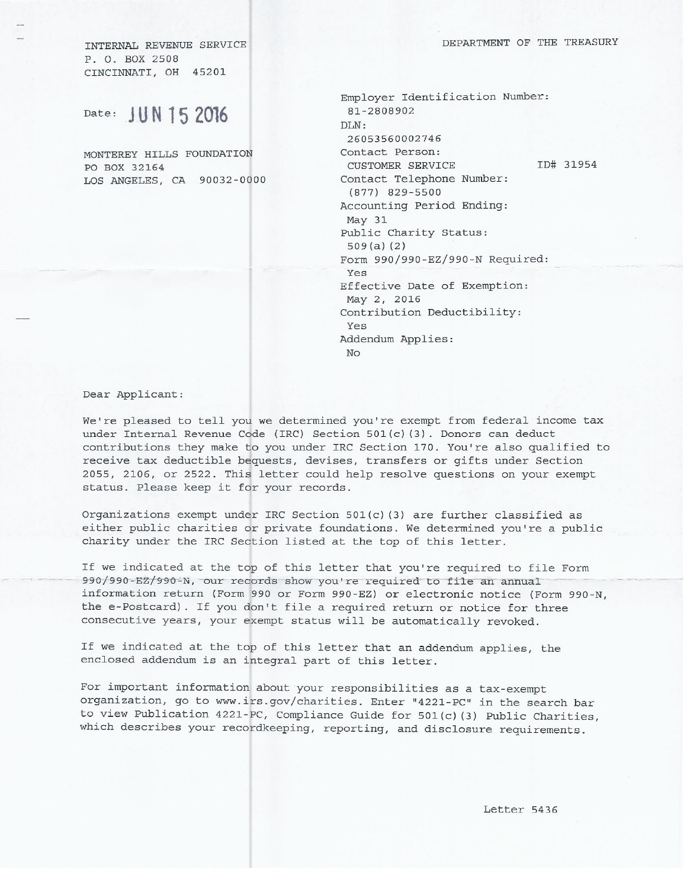DEPARTMENT OF THE TREASURY

INTERNAL REVENUE SERVICE P. O. BOX 2508 CINCINNATI, OH 45201

Date: JUN 15 2016

MONTEREY HILLS FOUNDATION PO BOX 32164 LOS ANGELES, CA 90032-0000

Employer Identification Number: 81-2808902 DLN: 26053560002746 Contact Person: ID# 31954 CUSTOMER SERVICE Contact Telephone Number:  $(877)$  829-5500 Accounting Period Ending: May 31 Public Charity Status:  $509(a)$  (2) Form 990/990-EZ/990-N Required: Yes Effective Date of Exemption: May 2, 2016 Contribution Deductibility: Yes Addendum Applies:  $N<sub>O</sub>$ 

Dear Applicant:

We're pleased to tell you we determined you're exempt from federal income tax under Internal Revenue Code (IRC) Section 501(c)(3). Donors can deduct contributions they make to you under IRC Section 170. You're also qualified to receive tax deductible bequests, devises, transfers or gifts under Section 2055, 2106, or 2522. This letter could help resolve questions on your exempt status. Please keep it for your records.

Organizations exempt under IRC Section 501(c) (3) are further classified as either public charities or private foundations. We determined you're a public charity under the IRC Section listed at the top of this letter.

If we indicated at the top of this letter that you're required to file Form 990/990-EZ/990-N, our records show you're required to file an annual information return (Form 990 or Form 990-EZ) or electronic notice (Form 990-N, the e-Postcard). If you don't file a required return or notice for three consecutive years, your exempt status will be automatically revoked.

If we indicated at the top of this letter that an addendum applies, the enclosed addendum is an integral part of this letter.

For important information about your responsibilities as a tax-exempt organization, go to www.irs.gov/charities. Enter "4221-PC" in the search bar to view Publication 4221-PC, Compliance Guide for 501(c)(3) Public Charities, which describes your recordkeeping, reporting, and disclosure requirements.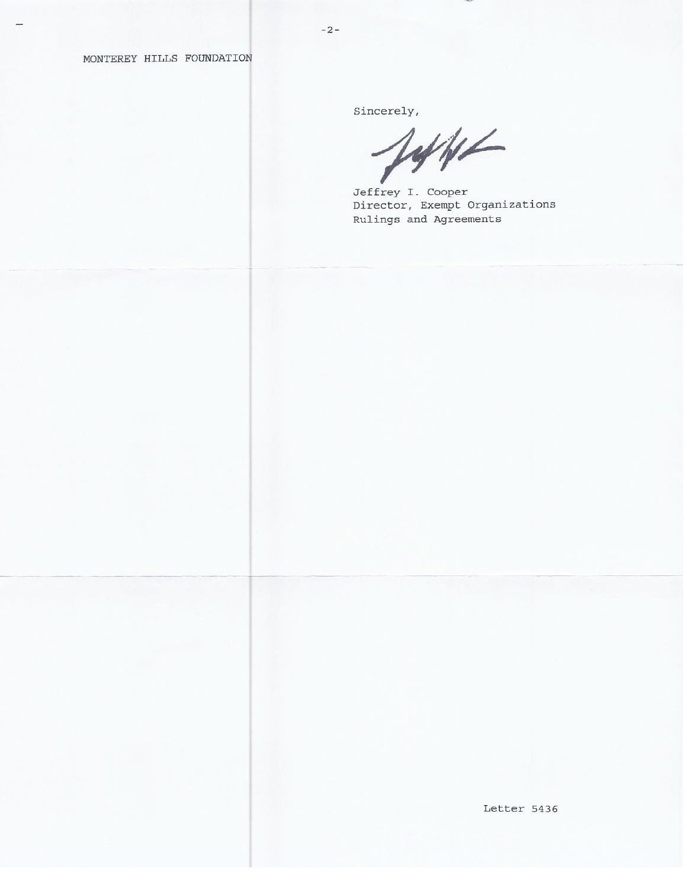MONTEREY HILLS FOUNDATION

Sincerely,

1446

Jeffrey I. Cooper Director, Exempt Organizations Rulings and Agreements

Letter 5436

 $-2-$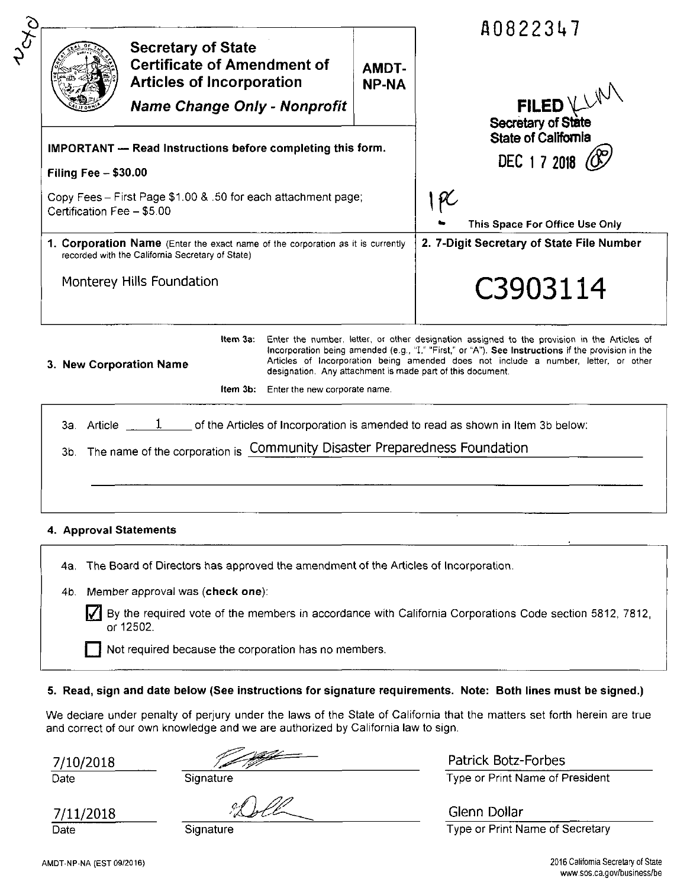|                                                                                                                                            |                                               |                              | A0822347                                                                                                                                                                                                                                                                                                                                               |
|--------------------------------------------------------------------------------------------------------------------------------------------|-----------------------------------------------|------------------------------|--------------------------------------------------------------------------------------------------------------------------------------------------------------------------------------------------------------------------------------------------------------------------------------------------------------------------------------------------------|
| <b>Secretary of State</b><br><b>Certificate of Amendment of</b><br><b>Articles of Incorporation</b><br><b>Name Change Only - Nonprofit</b> |                                               | <b>AMDT-</b><br><b>NP-NA</b> | FILED VAN                                                                                                                                                                                                                                                                                                                                              |
| <b>IMPORTANT</b> - Read Instructions before completing this form.<br><b>Filing Fee - \$30.00</b>                                           |                                               |                              | State of California<br>DEC 17 2018                                                                                                                                                                                                                                                                                                                     |
| Copy Fees - First Page \$1.00 & .50 for each attachment page;<br>Certification Fee - \$5.00                                                |                                               |                              | 1 PC<br>This Space For Office Use Only                                                                                                                                                                                                                                                                                                                 |
| 1. Corporation Name (Enter the exact name of the corporation as it is currently<br>recorded with the California Secretary of State)        |                                               |                              | 2. 7-Digit Secretary of State File Number                                                                                                                                                                                                                                                                                                              |
| Monterey Hills Foundation                                                                                                                  |                                               |                              | C3903114                                                                                                                                                                                                                                                                                                                                               |
| ltem 3a:<br>3. New Corporation Name                                                                                                        |                                               |                              | Enter the number, letter, or other designation assigned to the provision in the Articles of<br>Incorporation being amended (e.g., "I," "First," or "A"). See Instructions if the provision in the<br>Articles of Incorporation being amended does not include a number, letter, or other<br>designation. Any attachment is made part of this document. |
|                                                                                                                                            | <b>Item 3b:</b> Enter the new corporate name. |                              |                                                                                                                                                                                                                                                                                                                                                        |
| 3a. Article $\frac{1}{\sqrt{1-\frac{1}{n}}}$ of the Articles of Incorporation is amended to read as shown in Item 3b below:                |                                               |                              |                                                                                                                                                                                                                                                                                                                                                        |
| 3b. The name of the corporation is Community Disaster Preparedness Foundation                                                              |                                               |                              |                                                                                                                                                                                                                                                                                                                                                        |
|                                                                                                                                            |                                               |                              |                                                                                                                                                                                                                                                                                                                                                        |
|                                                                                                                                            |                                               |                              |                                                                                                                                                                                                                                                                                                                                                        |
| 4. Approval Statements                                                                                                                     |                                               |                              |                                                                                                                                                                                                                                                                                                                                                        |

4a. The Board of Directors has approved the amendment of the Articles of Incorporation.

4b. Member approval was (check one):

By the required vote of the members in accordance with California Corporations Code section 5812, 7812, or 12502.

Not required because the corporation has no members.

## 5. Read, sign and date below (See instructions for signature requirements. Note: Both lines must be signed.)

We declare under penalty of perjury under the laws of the State of California that the matters set forth herein are true and correct of our own knowledge and we are authorized by California law to sign.

7/10/2018

Date

Signature

7/11/2018 Date

Signature

Patrick Botz-Forbes Type or Print Name of President

Glenn Dollar Type or Print Name of Secretary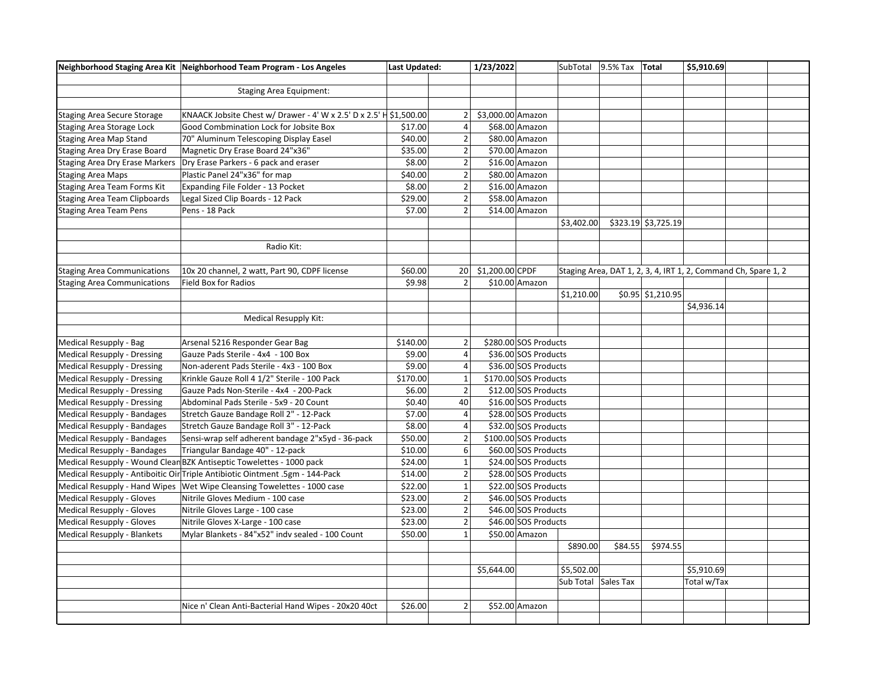|                                       | Neighborhood Staging Area Kit   Neighborhood Team Program - Los Angeles      | Last Updated: |                | 1/23/2022          |                       | SubTotal 9.5% Tax Total |         |                     | \$5,910.69                                                     |  |
|---------------------------------------|------------------------------------------------------------------------------|---------------|----------------|--------------------|-----------------------|-------------------------|---------|---------------------|----------------------------------------------------------------|--|
|                                       |                                                                              |               |                |                    |                       |                         |         |                     |                                                                |  |
|                                       | <b>Staging Area Equipment:</b>                                               |               |                |                    |                       |                         |         |                     |                                                                |  |
|                                       |                                                                              |               |                |                    |                       |                         |         |                     |                                                                |  |
| Staging Area Secure Storage           | KNAACK Jobsite Chest w/ Drawer - 4' W x 2.5' D x 2.5' H \$1,500.00           |               | 2              | \$3,000.00 Amazon  |                       |                         |         |                     |                                                                |  |
| Staging Area Storage Lock             | Good Combmination Lock for Jobsite Box                                       | \$17.00       | $\overline{4}$ |                    | \$68.00 Amazon        |                         |         |                     |                                                                |  |
| <b>Staging Area Map Stand</b>         | 70" Aluminum Telescoping Display Easel                                       | \$40.00       | $\mathbf 2$    |                    | \$80.00 Amazon        |                         |         |                     |                                                                |  |
| Staging Area Dry Erase Board          | Magnetic Dry Erase Board 24"x36"                                             | \$35.00       | $\mathbf 2$    |                    | \$70.00 Amazon        |                         |         |                     |                                                                |  |
| <b>Staging Area Dry Erase Markers</b> | Dry Erase Parkers - 6 pack and eraser                                        | \$8.00        | 2              |                    | \$16.00 Amazon        |                         |         |                     |                                                                |  |
| <b>Staging Area Maps</b>              | Plastic Panel 24"x36" for map                                                | \$40.00       | $\vert$ 2      |                    | \$80.00 Amazon        |                         |         |                     |                                                                |  |
| Staging Area Team Forms Kit           | Expanding File Folder - 13 Pocket                                            | \$8.00        | $\overline{2}$ |                    | \$16.00 Amazon        |                         |         |                     |                                                                |  |
| <b>Staging Area Team Clipboards</b>   | Legal Sized Clip Boards - 12 Pack                                            | \$29.00       | 2              |                    | \$58.00 Amazon        |                         |         |                     |                                                                |  |
| <b>Staging Area Team Pens</b>         | Pens - 18 Pack                                                               | \$7.00        | $\overline{2}$ |                    | \$14.00 Amazon        |                         |         |                     |                                                                |  |
|                                       |                                                                              |               |                |                    |                       | \$3,402.00              |         | \$323.19 \$3,725.19 |                                                                |  |
|                                       |                                                                              |               |                |                    |                       |                         |         |                     |                                                                |  |
|                                       | Radio Kit:                                                                   |               |                |                    |                       |                         |         |                     |                                                                |  |
|                                       |                                                                              |               |                |                    |                       |                         |         |                     |                                                                |  |
| <b>Staging Area Communications</b>    | 10x 20 channel, 2 watt, Part 90, CDPF license                                | \$60.00       |                | 20 \$1,200.00 CPDF |                       |                         |         |                     | Staging Area, DAT 1, 2, 3, 4, IRT 1, 2, Command Ch, Spare 1, 2 |  |
| <b>Staging Area Communications</b>    | Field Box for Radios                                                         | \$9.98        | $\overline{2}$ |                    | \$10.00 Amazon        |                         |         |                     |                                                                |  |
|                                       |                                                                              |               |                |                    |                       | \$1,210.00              |         | \$0.95 \$1,210.95   |                                                                |  |
|                                       |                                                                              |               |                |                    |                       |                         |         |                     | \$4,936.14                                                     |  |
|                                       | <b>Medical Resupply Kit:</b>                                                 |               |                |                    |                       |                         |         |                     |                                                                |  |
|                                       |                                                                              |               |                |                    |                       |                         |         |                     |                                                                |  |
| Medical Resupply - Bag                | Arsenal 5216 Responder Gear Bag                                              | \$140.00      | $\overline{2}$ |                    | \$280.00 SOS Products |                         |         |                     |                                                                |  |
| Medical Resupply - Dressing           | Gauze Pads Sterile - 4x4 - 100 Box                                           | \$9.00        | $\overline{4}$ |                    | \$36.00 SOS Products  |                         |         |                     |                                                                |  |
| Medical Resupply - Dressing           | Non-aderent Pads Sterile - 4x3 - 100 Box                                     | \$9.00        | $\overline{4}$ |                    | \$36.00 SOS Products  |                         |         |                     |                                                                |  |
| Medical Resupply - Dressing           | Krinkle Gauze Roll 4 1/2" Sterile - 100 Pack                                 | \$170.00      | $\mathbf{1}$   |                    | \$170.00 SOS Products |                         |         |                     |                                                                |  |
| Medical Resupply - Dressing           | Gauze Pads Non-Sterile - 4x4 - 200-Pack                                      | \$6.00        | $\overline{2}$ |                    | \$12.00 SOS Products  |                         |         |                     |                                                                |  |
| Medical Resupply - Dressing           | Abdominal Pads Sterile - 5x9 - 20 Count                                      | \$0.40        | 40             |                    | \$16.00 SOS Products  |                         |         |                     |                                                                |  |
| Medical Resupply - Bandages           | Stretch Gauze Bandage Roll 2" - 12-Pack                                      | \$7.00        | $\overline{4}$ |                    | \$28.00 SOS Products  |                         |         |                     |                                                                |  |
| Medical Resupply - Bandages           | Stretch Gauze Bandage Roll 3" - 12-Pack                                      | \$8.00        | 4 <sup>1</sup> |                    | \$32.00 SOS Products  |                         |         |                     |                                                                |  |
| Medical Resupply - Bandages           | Sensi-wrap self adherent bandage 2"x5yd - 36-pack                            | \$50.00       | 2 <sup>1</sup> |                    | \$100.00 SOS Products |                         |         |                     |                                                                |  |
| Medical Resupply - Bandages           | Triangular Bandage 40" - 12-pack                                             | \$10.00       | $6\vert$       |                    | \$60.00 SOS Products  |                         |         |                     |                                                                |  |
|                                       | Medical Resupply - Wound Clean BZK Antiseptic Towelettes - 1000 pack         | \$24.00       | $\mathbf 1$    |                    | \$24.00 SOS Products  |                         |         |                     |                                                                |  |
|                                       | Medical Resupply - Antiboitic Oir Triple Antibiotic Ointment .5gm - 144-Pack | \$14.00       | $\mathbf 2$    |                    | \$28.00 SOS Products  |                         |         |                     |                                                                |  |
|                                       | Medical Resupply - Hand Wipes   Wet Wipe Cleansing Towelettes - 1000 case    | \$22.00       | $\mathbf 1$    |                    | \$22.00 SOS Products  |                         |         |                     |                                                                |  |
| Medical Resupply - Gloves             | Nitrile Gloves Medium - 100 case                                             | \$23.00       | 2              |                    | \$46.00 SOS Products  |                         |         |                     |                                                                |  |
| Medical Resupply - Gloves             | Nitrile Gloves Large - 100 case                                              | \$23.00       | $\vert$ 2      |                    | \$46.00 SOS Products  |                         |         |                     |                                                                |  |
|                                       |                                                                              | \$23.00       | $\overline{2}$ |                    | \$46.00 SOS Products  |                         |         |                     |                                                                |  |
| Medical Resupply - Gloves             | Nitrile Gloves X-Large - 100 case                                            |               |                |                    |                       |                         |         |                     |                                                                |  |
| Medical Resupply - Blankets           | Mylar Blankets - 84"x52" indv sealed - 100 Count                             | \$50.00       | $1\vert$       |                    | \$50.00 Amazon        |                         |         |                     |                                                                |  |
|                                       |                                                                              |               |                |                    |                       | \$890.00                | \$84.55 | \$974.55            |                                                                |  |
|                                       |                                                                              |               |                |                    |                       |                         |         |                     |                                                                |  |
|                                       |                                                                              |               |                | \$5,644.00         |                       | \$5,502.00              |         |                     | \$5,910.69                                                     |  |
|                                       |                                                                              |               |                |                    |                       | Sub Total Sales Tax     |         |                     | Total w/Tax                                                    |  |
|                                       |                                                                              |               |                |                    |                       |                         |         |                     |                                                                |  |
|                                       | Nice n' Clean Anti-Bacterial Hand Wipes - 20x20 40ct                         | \$26.00       | $\overline{2}$ |                    | \$52.00 Amazon        |                         |         |                     |                                                                |  |